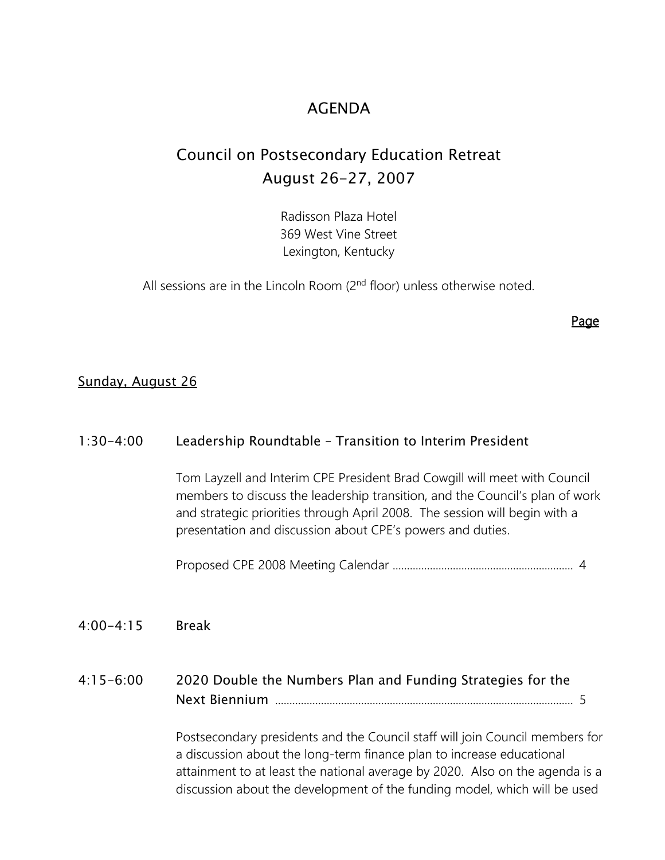## AGENDA

## Council on Postsecondary Education Retreat August 26-27, 2007

Radisson Plaza Hotel 369 West Vine Street Lexington, Kentucky

All sessions are in the Lincoln Room  $(2<sup>nd</sup>$  floor) unless otherwise noted.

Page

### Sunday, August 26

### 1:30-4:00 Leadership Roundtable – Transition to Interim President

Tom Layzell and Interim CPE President Brad Cowgill will meet with Council members to discuss the leadership transition, and the Council's plan of work and strategic priorities through April 2008. The session will begin with a presentation and discussion about CPE's powers and duties.

Proposed CPE 2008 Meeting Calendar ............................................................... 4

4:00-4:15 Break

4:15-6:00 2020 Double the Numbers Plan and Funding Strategies for the Next Biennium ........................................................................................................ 5

> Postsecondary presidents and the Council staff will join Council members for a discussion about the long-term finance plan to increase educational attainment to at least the national average by 2020. Also on the agenda is a discussion about the development of the funding model, which will be used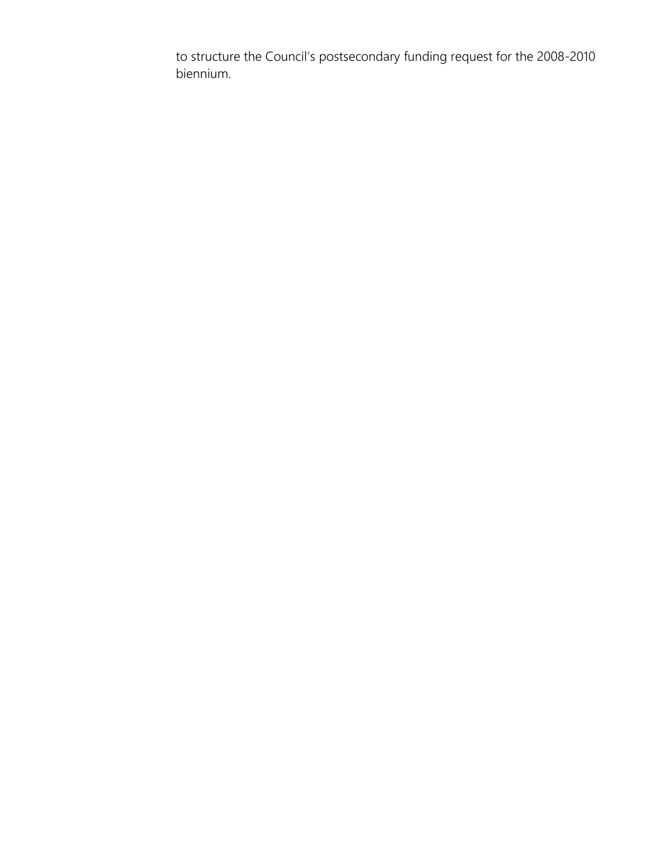to structure the Council's postsecondary funding request for the 2008-2010 biennium.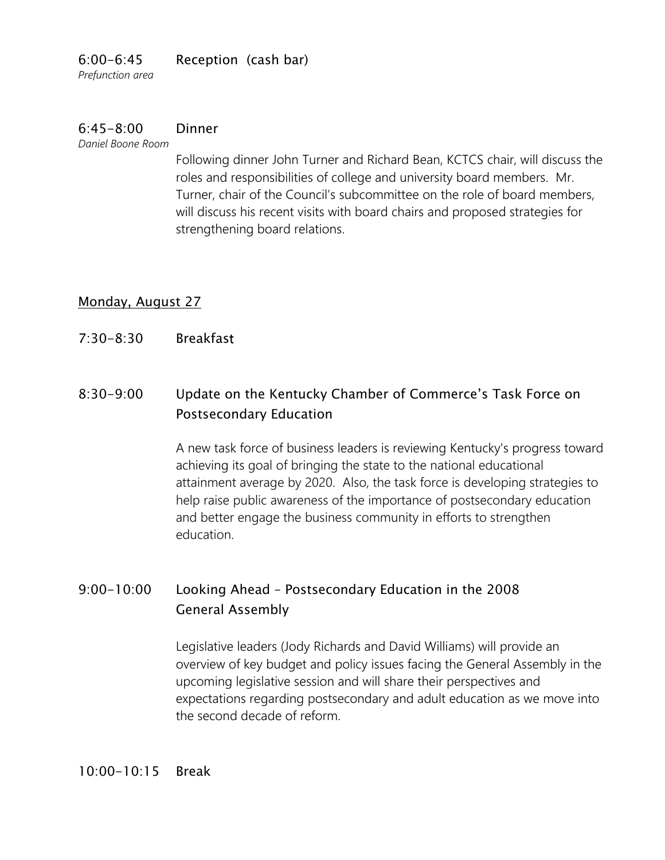## 6:00-6:45 Reception (cash bar)

*Prefunction area*

## 6:45-8:00 Dinner

*Daniel Boone Room*

Following dinner John Turner and Richard Bean, KCTCS chair, will discuss the roles and responsibilities of college and university board members. Mr. Turner, chair of the Council's subcommittee on the role of board members, will discuss his recent visits with board chairs and proposed strategies for strengthening board relations.

## Monday, August 27

7:30-8:30 Breakfast

## 8:30-9:00 Update on the Kentucky Chamber of Commerce's Task Force on Postsecondary Education

A new task force of business leaders is reviewing Kentucky's progress toward achieving its goal of bringing the state to the national educational attainment average by 2020. Also, the task force is developing strategies to help raise public awareness of the importance of postsecondary education and better engage the business community in efforts to strengthen education.

## 9:00-10:00 Looking Ahead – Postsecondary Education in the 2008 General Assembly

Legislative leaders (Jody Richards and David Williams) will provide an overview of key budget and policy issues facing the General Assembly in the upcoming legislative session and will share their perspectives and expectations regarding postsecondary and adult education as we move into the second decade of reform.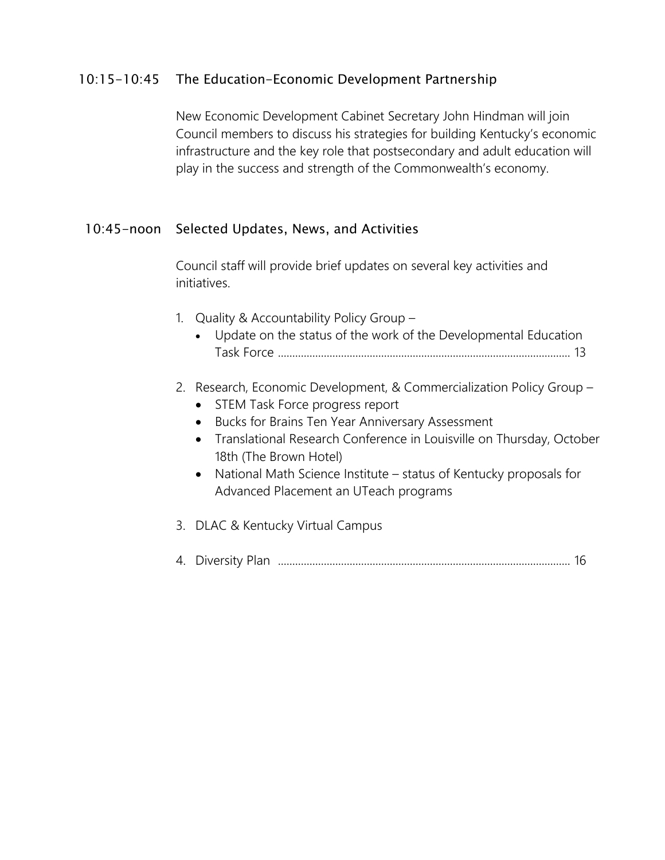## 10:15-10:45 The Education-Economic Development Partnership

New Economic Development Cabinet Secretary John Hindman will join Council members to discuss his strategies for building Kentucky's economic infrastructure and the key role that postsecondary and adult education will play in the success and strength of the Commonwealth's economy.

## 10:45-noon Selected Updates, News, and Activities

Council staff will provide brief updates on several key activities and initiatives.

- 1. Quality & Accountability Policy Group
	- Update on the status of the work of the Developmental Education Task Force ...................................................................................................... 13

## 2. Research, Economic Development, & Commercialization Policy Group –

- STEM Task Force progress report
- Bucks for Brains Ten Year Anniversary Assessment
- Translational Research Conference in Louisville on Thursday, October 18th (The Brown Hotel)
- National Math Science Institute status of Kentucky proposals for Advanced Placement an UTeach programs
- 3. DLAC & Kentucky Virtual Campus
- 4. Diversity Plan ...................................................................................................... 16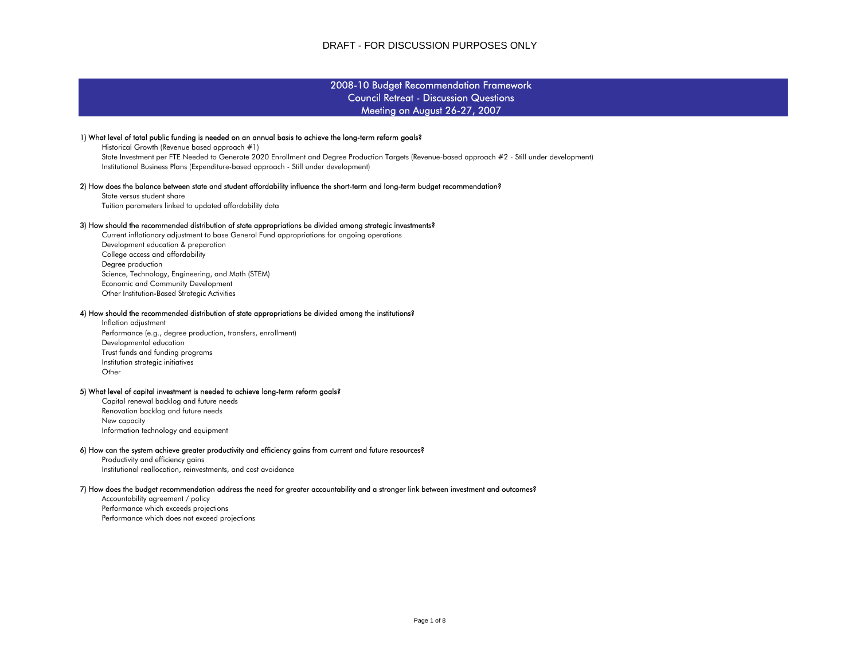#### Council Retreat - Discussion Questions 2008-10 Budget Recommendation Framework Meeting on August 26-27, 2007

#### 1) What level of total public funding is needed on an annual basis to achieve the long-term reform goals?

 Historical Growth (Revenue based approach #1) State Investment per FTE Needed to Generate 2020 Enrollment and Degree Production Targets (Revenue-based approach #2 - Still under development) Institutional Business Plans (Expenditure-based approach - Still under development)

#### 2) How does the balance between state and student affordability influence the short-term and long-term budget recommendation?

 State versus student shareTuition parameters linked to updated affordability data

#### 3) How should the recommended distribution of state appropriations be divided among strategic investments?

 Degree production Science, Technology, Engineering, and Math (STEM) Economic and Community Development Other Institution-Based Strategic Activities Current inflationary adjustment to base General Fund appropriations for ongoing operations Development education & preparation College access and affordability

#### 4) How should the recommended distribution of state appropriations be divided among the institutions?

 Institution strategic initiatives **Other**  Inflation adjustment Performance (e.g., degree production, transfers, enrollment) Developmental education Trust funds and funding programs

#### 5) What level of capital investment is needed to achieve long-term reform goals?

 Renovation backlog and future needs New capacity Information technology and equipment Capital renewal backlog and future needs

#### 6) How can the system achieve greater productivity and efficiency gains from current and future resources?

 Productivity and efficiency gains Institutional reallocation, reinvestments, and cost avoidance

#### 7) How does the budget recommendation address the need for greater accountability and a stronger link between investment and outcomes?

 Performance which exceeds projections Performance which does not exceed projections Accountability agreement / policy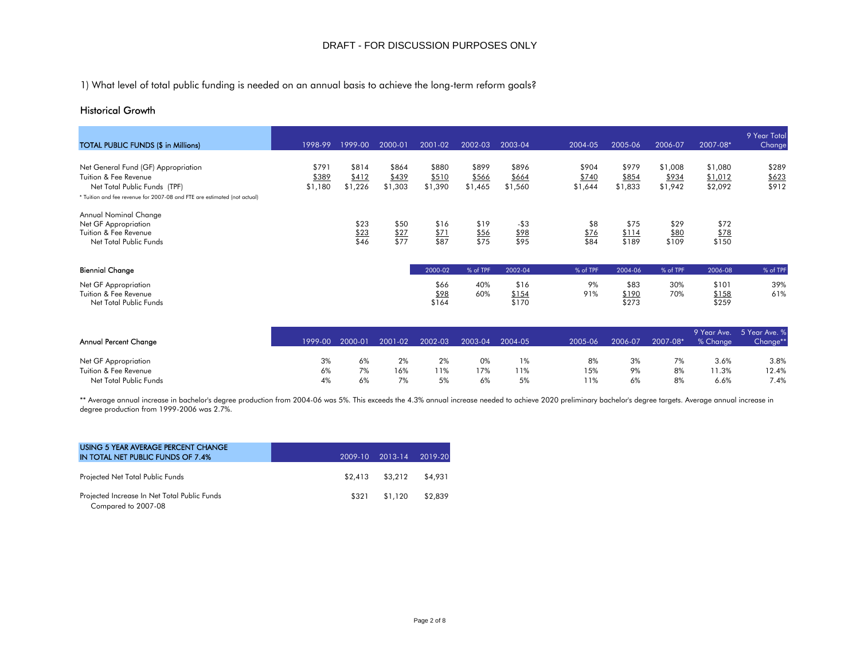1) What level of total public funding is needed on an annual basis to achieve the long-term reform goals?

### Historical Growth

| <b>TOTAL PUBLIC FUNDS (\$ in Millions)</b>                                                                                                                               | 1998-99                   | 1999-00                   | 2000-01                   | 2001-02                   | 2002-03                   | 2003-04                   | $2004 - 05$               | 2005-06                   | 2006-07                     | 2007-08*                      | 9 Year Total<br>Change  |
|--------------------------------------------------------------------------------------------------------------------------------------------------------------------------|---------------------------|---------------------------|---------------------------|---------------------------|---------------------------|---------------------------|---------------------------|---------------------------|-----------------------------|-------------------------------|-------------------------|
| Net General Fund (GF) Appropriation<br>Tuition & Fee Revenue<br>Net Total Public Funds (TPF)<br>* Tuition and fee revenue for 2007-08 and FTE are estimated (not actual) | \$791<br>\$389<br>\$1,180 | \$814<br>\$412<br>\$1,226 | \$864<br>\$439<br>\$1,303 | \$880<br>\$510<br>\$1,390 | \$899<br>\$566<br>\$1,465 | \$896<br>\$664<br>\$1,560 | \$904<br>\$740<br>\$1,644 | \$979<br>\$854<br>\$1,833 | \$1,008<br>\$934<br>\$1,942 | \$1,080<br>\$1,012<br>\$2,092 | \$289<br>\$623<br>\$912 |
| Annual Nominal Change<br>Net GF Appropriation<br>Tuition & Fee Revenue<br>Net Total Public Funds                                                                         |                           | \$23<br>\$23<br>\$46      | \$50<br>\$27<br>\$77      | \$16<br>\$71<br>\$87      | \$19<br>\$56<br>\$75      | $-53$<br>\$98<br>\$95     | \$8<br>\$76<br>\$84       | \$75<br>\$114<br>\$189    | \$29<br>\$80<br>\$109       | \$72<br>\$78<br>\$150         |                         |
| <b>Biennial Change</b>                                                                                                                                                   |                           |                           |                           | 2000-02                   | % of TPF                  | 2002-04                   | % of TPF                  | 2004-06                   | % of TPF                    | 2006-08                       | % of TPF                |
| Net GF Appropriation<br>Tuition & Fee Revenue<br>Net Total Public Funds                                                                                                  |                           |                           |                           | \$66<br>\$98<br>\$164     | 40%<br>60%                | \$16<br>\$154<br>\$170    | 9%<br>91%                 | \$83<br>\$190<br>\$273    | 30%<br>70%                  | \$101<br>\$158<br>\$259       | 39%<br>61%              |

| Annual Percent Change  |    | 1999-00 2000-01 | 2001-02 | 2002-03 |     | 2003-04 2004-05 | 2005-06 | 2006-07 | 2007-08* | % Chanae | 9 Year Ave. 5 Year Ave. %<br>Change** |
|------------------------|----|-----------------|---------|---------|-----|-----------------|---------|---------|----------|----------|---------------------------------------|
| Net GF Appropriation   | 3% | 6%              | 2%      | 2%      | 0%  | 1%              | 8%      | 3%      | 7%       | 3.6%     | 3.8%                                  |
| Tuition & Fee Revenue  | 6% | 7%              | 16%     | 11%     | 17% | 11%             | 15%     | 9%      | 8%       | $1.3\%$  | 12.4%                                 |
| Net Total Public Funds | 4% | 6%              | 7%      | 5%      | 6%  | 5%              | 11%     | 6%      | 8%       | 6.6%     | 7.4%                                  |

\*\* Average annual increase in bachelor's degree production from 2004-06 was 5%. This exceeds the 4.3% annual increase needed to achieve 2020 preliminary bachelor's degree targets. Average annual increase in degree production from 1999-2006 was 2.7%.

| USING 5 YEAR AVERAGE PERCENT CHANGE<br>IN TOTAL NET PUBLIC FUNDS OF 7.4% | 2009-10 | 2013-14 | 2019-20 |
|--------------------------------------------------------------------------|---------|---------|---------|
| Projected Net Total Public Funds                                         | \$2,413 | \$3,212 | \$4,931 |
| Projected Increase In Net Total Public Funds<br>Compared to 2007-08      | \$321   | \$1.120 | \$2,839 |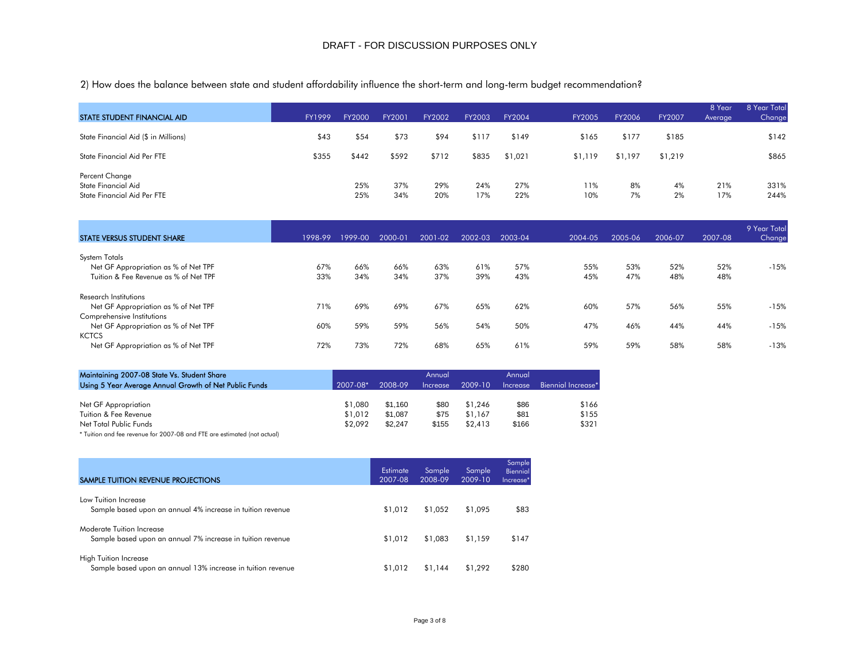2) How does the balance between state and student affordability influence the short-term and long-term budget recommendation?

| <b>STATE STUDENT FINANCIAL AID</b>                                   | FY1999 | FY2000     | FY2001     | FY2002     | FY2003     | FY2004     | <b>FY2005</b> | FY2006   | FY2007   | 8 Year<br>Average | 8 Year Total<br>Change |
|----------------------------------------------------------------------|--------|------------|------------|------------|------------|------------|---------------|----------|----------|-------------------|------------------------|
| State Financial Aid (\$ in Millions)                                 | \$43   | \$54       | \$73       | \$94       | \$117      | \$149      | \$165         | \$177    | \$185    |                   | \$142                  |
| State Financial Aid Per FTE                                          | \$355  | \$442      | \$592      | \$712      | \$835      | \$1,021    | \$1,119       | \$1,197  | \$1,219  |                   | \$865                  |
| Percent Change<br>State Financial Aid<br>State Financial Aid Per FTE |        | 25%<br>25% | 37%<br>34% | 29%<br>20% | 24%<br>17% | 27%<br>22% | 11%<br>10%    | 8%<br>7% | 4%<br>2% | 21%<br>17%        | 331%<br>244%           |

| STATE VERSUS STUDENT SHARE            | 1998-99 | 1999-00 | 2000-01 | 2001-02 | 2002-03 | 2003-04 | 2004-05 | 2005-06 | 2006-07 | 2007-08 | 9 Year Total<br>Change |
|---------------------------------------|---------|---------|---------|---------|---------|---------|---------|---------|---------|---------|------------------------|
| <b>System Totals</b>                  |         |         |         |         |         |         |         |         |         |         |                        |
| Net GF Appropriation as % of Net TPF  | 67%     | 66%     | 66%     | 63%     | 61%     | 57%     | 55%     | 53%     | 52%     | 52%     | $-15%$                 |
| Tuition & Fee Revenue as % of Net TPF | 33%     | 34%     | 34%     | 37%     | 39%     | 43%     | 45%     | 47%     | 48%     | 48%     |                        |
| Research Institutions                 |         |         |         |         |         |         |         |         |         |         |                        |
| Net GF Appropriation as % of Net TPF  | 71%     | 69%     | 69%     | 67%     | 65%     | 62%     | 60%     | 57%     | 56%     | 55%     | $-15%$                 |
| Comprehensive Institutions            |         |         |         |         |         |         |         |         |         |         |                        |
| Net GF Appropriation as % of Net TPF  | 60%     | 59%     | 59%     | 56%     | 54%     | 50%     | 47%     | 46%     | 44%     | 44%     | $-15%$                 |
| <b>KCTCS</b>                          |         |         |         |         |         |         |         |         |         |         |                        |
| Net GF Appropriation as % of Net TPF  | 72%     | 73%     | 72%     | 68%     | 65%     | 61%     | 59%     | 59%     | 58%     | 58%     | $-13%$                 |

| Maintaining 2007-08 State Vs. Student Share<br>Using 5 Year Average Annual Growth of Net Public Funds | 2007-08* | 2008-09 | Annual<br>Increase | 2009-10 | Annual<br><i><u><b>Increase</b></u></i> | Biennial Increase* |
|-------------------------------------------------------------------------------------------------------|----------|---------|--------------------|---------|-----------------------------------------|--------------------|
|                                                                                                       |          |         |                    |         |                                         |                    |
| Net GF Appropriation                                                                                  | \$1,080  | \$1.160 | \$80               | \$1,246 | \$86                                    | \$166              |
| Tuition & Fee Revenue                                                                                 | \$1,012  | \$1.087 | \$75               | \$1,167 | \$81                                    | \$155              |
| Net Total Public Funds                                                                                | \$2.092  | \$2.247 | \$155              | \$2,413 | \$166                                   | \$321              |

\* Tuition and fee revenue for 2007-08 and FTE are estimated (not actual)

| SAMPLE TUITION REVENUE PROJECTIONS                                                          | Estimate<br>2007-08 | Sample<br>2008-09 | Sample<br>2009-10 | Sample<br>Biennial<br>Increase* |
|---------------------------------------------------------------------------------------------|---------------------|-------------------|-------------------|---------------------------------|
| Low Tuition Increase<br>Sample based upon an annual 4% increase in tuition revenue          | \$1,012             | \$1.052           | \$1,095           | \$83                            |
| Moderate Tuition Increase<br>Sample based upon an annual 7% increase in tuition revenue     | \$1,012             | \$1,083           | \$1,159           | \$147                           |
| <b>High Tuition Increase</b><br>Sample based upon an annual 13% increase in tuition revenue | \$1,012             | \$1.144           | \$1,292           | \$280                           |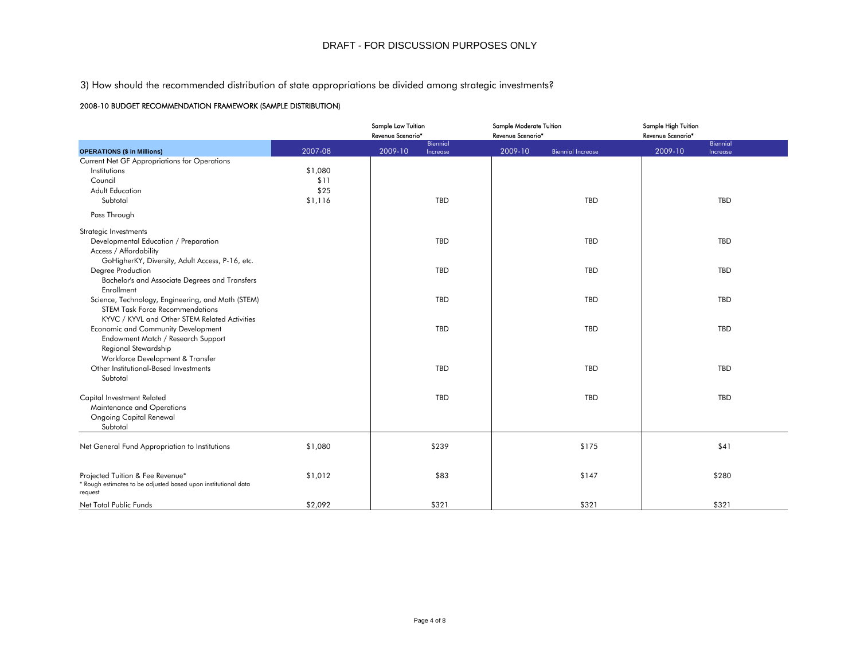3) How should the recommended distribution of state appropriations be divided among strategic investments?

#### 2008-10 BUDGET RECOMMENDATION FRAMEWORK (SAMPLE DISTRIBUTION)

|                                                                                                    |         | Sample Low Tuition<br>Revenue Scenario* | Sample Moderate Tuition<br>Revenue Scenario* | Sample High Tuition<br>Revenue Scenario* |
|----------------------------------------------------------------------------------------------------|---------|-----------------------------------------|----------------------------------------------|------------------------------------------|
| <b>OPERATIONS (\$ in Millions)</b>                                                                 | 2007-08 | Biennial<br>2009-10<br>Increase         | 2009-10<br><b>Biennial Increase</b>          | Biennial<br>2009-10<br>Increase          |
| Current Net GF Appropriations for Operations                                                       |         |                                         |                                              |                                          |
| Institutions                                                                                       | \$1,080 |                                         |                                              |                                          |
| Council                                                                                            | \$11    |                                         |                                              |                                          |
| <b>Adult Education</b>                                                                             | \$25    |                                         |                                              |                                          |
| Subtotal                                                                                           | \$1,116 | TBD                                     | TBD                                          | TBD                                      |
| Pass Through                                                                                       |         |                                         |                                              |                                          |
| Strategic Investments                                                                              |         |                                         |                                              |                                          |
| Developmental Education / Preparation                                                              |         | TBD                                     | TBD                                          | TBD                                      |
| Access / Affordability                                                                             |         |                                         |                                              |                                          |
| GoHigherKY, Diversity, Adult Access, P-16, etc.                                                    |         |                                         |                                              |                                          |
| Degree Production                                                                                  |         | TBD                                     | TBD                                          | TBD                                      |
| Bachelor's and Associate Degrees and Transfers                                                     |         |                                         |                                              |                                          |
| Enrollment                                                                                         |         |                                         |                                              |                                          |
| Science, Technology, Engineering, and Math (STEM)                                                  |         | TBD                                     | TBD                                          | TBD                                      |
| <b>STEM Task Force Recommendations</b>                                                             |         |                                         |                                              |                                          |
| KYVC / KYVL and Other STEM Related Activities                                                      |         |                                         |                                              |                                          |
| Economic and Community Development                                                                 |         | TBD                                     | TBD                                          | TBD                                      |
| Endowment Match / Research Support                                                                 |         |                                         |                                              |                                          |
| Regional Stewardship                                                                               |         |                                         |                                              |                                          |
| Workforce Development & Transfer                                                                   |         |                                         |                                              |                                          |
| Other Institutional-Based Investments                                                              |         | TBD                                     | TBD                                          | TBD                                      |
| Subtotal                                                                                           |         |                                         |                                              |                                          |
|                                                                                                    |         |                                         |                                              |                                          |
| Capital Investment Related                                                                         |         | TBD                                     | TBD                                          | TBD                                      |
| Maintenance and Operations                                                                         |         |                                         |                                              |                                          |
| <b>Ongoing Capital Renewal</b>                                                                     |         |                                         |                                              |                                          |
| Subtotal                                                                                           |         |                                         |                                              |                                          |
|                                                                                                    |         | \$239                                   | \$175                                        | \$41                                     |
| Net General Fund Appropriation to Institutions                                                     | \$1,080 |                                         |                                              |                                          |
|                                                                                                    |         |                                         |                                              |                                          |
| Projected Tuition & Fee Revenue*<br>* Rough estimates to be adjusted based upon institutional data | \$1,012 | \$83                                    | \$147                                        | \$280                                    |
| request                                                                                            |         |                                         |                                              |                                          |
| Net Total Public Funds                                                                             | \$2,092 | \$321                                   | \$321                                        | \$321                                    |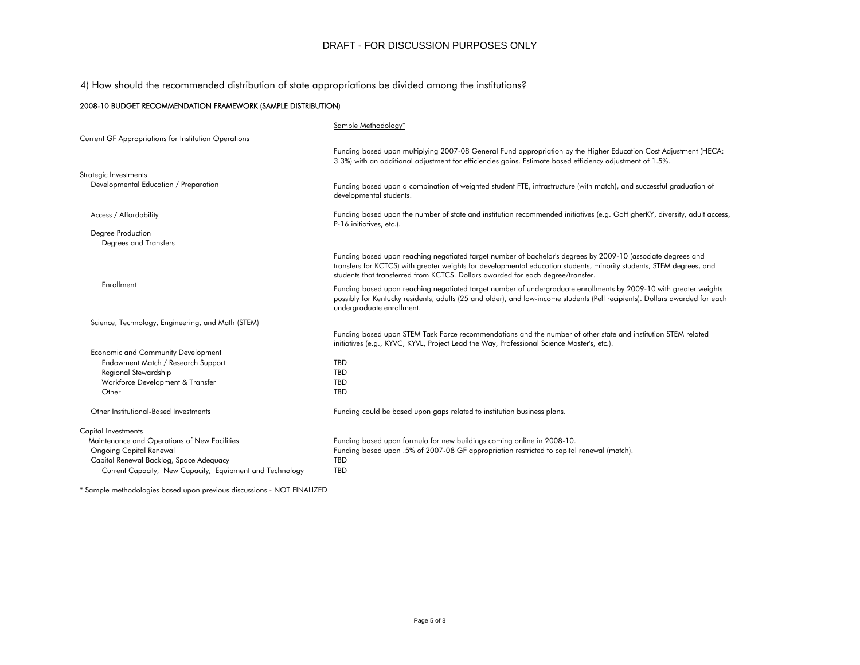4) How should the recommended distribution of state appropriations be divided among the institutions?

#### 2008-10 BUDGET RECOMMENDATION FRAMEWORK (SAMPLE DISTRIBUTION)

| Sample Methodology*                                                                                                                                                                                                                                                                                                     |
|-------------------------------------------------------------------------------------------------------------------------------------------------------------------------------------------------------------------------------------------------------------------------------------------------------------------------|
|                                                                                                                                                                                                                                                                                                                         |
| Funding based upon multiplying 2007-08 General Fund appropriation by the Higher Education Cost Adjustment (HECA:<br>3.3%) with an additional adjustment for efficiencies gains. Estimate based efficiency adjustment of 1.5%.                                                                                           |
|                                                                                                                                                                                                                                                                                                                         |
| Funding based upon a combination of weighted student FTE, infrastructure (with match), and successful graduation of<br>developmental students.                                                                                                                                                                          |
| Funding based upon the number of state and institution recommended initiatives (e.g. GoHigherKY, diversity, adult access,<br>P-16 initiatives, etc.).                                                                                                                                                                   |
|                                                                                                                                                                                                                                                                                                                         |
| Funding based upon reaching negotiated target number of bachelor's degrees by 2009-10 (associate degrees and<br>transfers for KCTCS) with greater weights for developmental education students, minority students, STEM degrees, and<br>students that transferred from KCTCS. Dollars awarded for each degree/transfer. |
| Funding based upon reaching negotiated target number of undergraduate enrollments by 2009-10 with greater weights<br>possibly for Kentucky residents, adults (25 and older), and low-income students (Pell recipients). Dollars awarded for each<br>undergraduate enrollment.                                           |
|                                                                                                                                                                                                                                                                                                                         |
| Funding based upon STEM Task Force recommendations and the number of other state and institution STEM related<br>initiatives (e.g., KYVC, KYVL, Project Lead the Way, Professional Science Master's, etc.).                                                                                                             |
|                                                                                                                                                                                                                                                                                                                         |
| <b>TBD</b>                                                                                                                                                                                                                                                                                                              |
| TBD                                                                                                                                                                                                                                                                                                                     |
| <b>TBD</b>                                                                                                                                                                                                                                                                                                              |
| <b>TBD</b>                                                                                                                                                                                                                                                                                                              |
| Funding could be based upon gaps related to institution business plans.                                                                                                                                                                                                                                                 |
|                                                                                                                                                                                                                                                                                                                         |
| Funding based upon formula for new buildings coming online in 2008-10.                                                                                                                                                                                                                                                  |
| Funding based upon .5% of 2007-08 GF appropriation restricted to capital renewal (match).                                                                                                                                                                                                                               |
| TBD                                                                                                                                                                                                                                                                                                                     |
| <b>TBD</b>                                                                                                                                                                                                                                                                                                              |
|                                                                                                                                                                                                                                                                                                                         |

\* Sample methodologies based upon previous discussions - NOT FINALIZED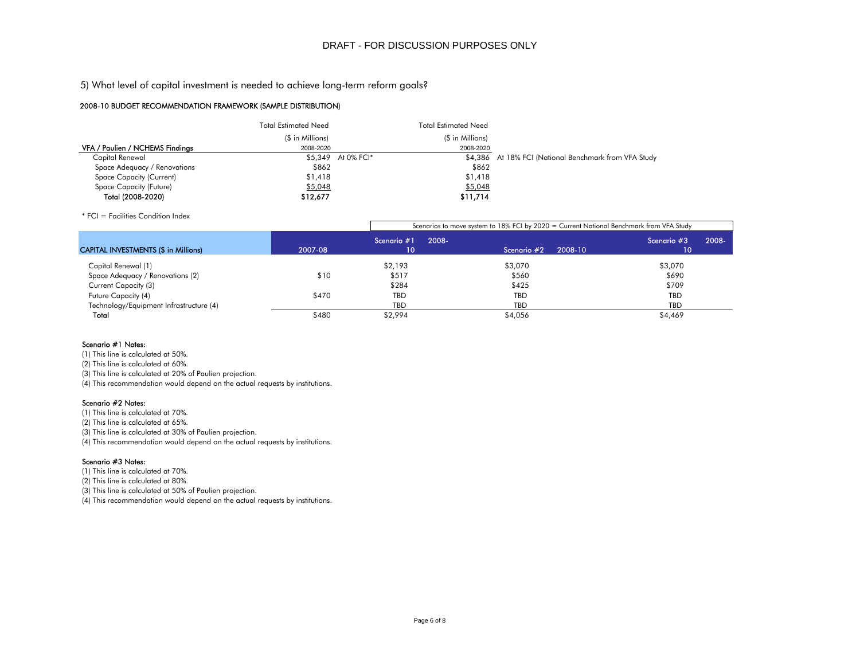#### 2008-10 BUDGET RECOMMENDATION FRAMEWORK (SAMPLE DISTRIBUTION)

| 5) What level of capital investment is needed to achieve long-term reform goals? |                      |                    |             |                             |                                                                                 |
|----------------------------------------------------------------------------------|----------------------|--------------------|-------------|-----------------------------|---------------------------------------------------------------------------------|
| 2008-10 BUDGET RECOMMENDATION FRAMEWORK (SAMPLE DISTRIBUTION)                    |                      |                    |             |                             |                                                                                 |
|                                                                                  | Total Estimated Need |                    |             | <b>Total Estimated Need</b> |                                                                                 |
|                                                                                  | (\$ in Millions)     |                    |             | (\$ in Millions)            |                                                                                 |
| VFA / Paulien / NCHEMS Findings                                                  | 2008-2020            |                    |             | 2008-2020                   |                                                                                 |
| Capital Renewal                                                                  |                      | \$5,349 At 0% FCI* |             |                             | \$4,386 At 18% FCI (National Benchmark from VFA Study                           |
| Space Adequacy / Renovations                                                     | \$862                |                    |             | \$862                       |                                                                                 |
| Space Capacity (Current)                                                         | \$1,418              |                    |             | \$1,418                     |                                                                                 |
| Space Capacity (Future)                                                          | \$5,048              |                    |             | \$5,048                     |                                                                                 |
| Total (2008-2020)                                                                | \$12,677             |                    |             | \$11,714                    |                                                                                 |
| * FCI = Facilities Condition Index                                               |                      |                    |             |                             |                                                                                 |
|                                                                                  |                      |                    |             |                             | Scenarios to move system to 18% FCI by 2020 = Current National Benchmark from \ |
|                                                                                  |                      |                    | Scenario #1 | 2008-                       | Sceno                                                                           |

|                                             |         |                   | Scenarios to move system to 18% FCI by 2020 = Current National Benchmark from VFA Study |                             |  |  |  |  |  |  |  |
|---------------------------------------------|---------|-------------------|-----------------------------------------------------------------------------------------|-----------------------------|--|--|--|--|--|--|--|
| <b>CAPITAL INVESTMENTS (\$ in Millions)</b> | 2007-08 | Scenario #1<br>10 | 2008-<br>2008-10<br>Scenario #2                                                         | .2008-<br>Scenario #3<br>10 |  |  |  |  |  |  |  |
| Capital Renewal (1)                         |         | \$2,193           | \$3,070                                                                                 | \$3,070                     |  |  |  |  |  |  |  |
| Space Adequacy / Renovations (2)            | \$10    | \$517             | \$560                                                                                   | \$690                       |  |  |  |  |  |  |  |
| Current Capacity (3)                        |         | \$284             | \$425                                                                                   | \$709                       |  |  |  |  |  |  |  |
| Future Capacity (4)                         | \$470   | <b>TBD</b>        | <b>TBD</b>                                                                              | <b>TBD</b>                  |  |  |  |  |  |  |  |
| Technology/Equipment Infrastructure (4)     |         | <b>TBD</b>        | <b>TBD</b>                                                                              | <b>TBD</b>                  |  |  |  |  |  |  |  |
| Total                                       | \$480   | \$2,994           | \$4,056                                                                                 | \$4,469                     |  |  |  |  |  |  |  |

#### Scenario #1 Notes:

(1) This line is calculated at 50%.

(2) This line is calculated at 60%.

(3) This line is calculated at 20% of Paulien projection.

(4) This recommendation would depend on the actual requests by institutions.

#### Scenario #2 Notes:

(1) This line is calculated at 70%.

(2) This line is calculated at 65%.

(3) This line is calculated at 30% of Paulien projection.

(4) This recommendation would depend on the actual requests by institutions.

#### Scenario #3 Notes:

(1) This line is calculated at 70%.

(2) This line is calculated at 80%.

(3) This line is calculated at 50% of Paulien projection.

(4) This recommendation would depend on the actual requests by institutions.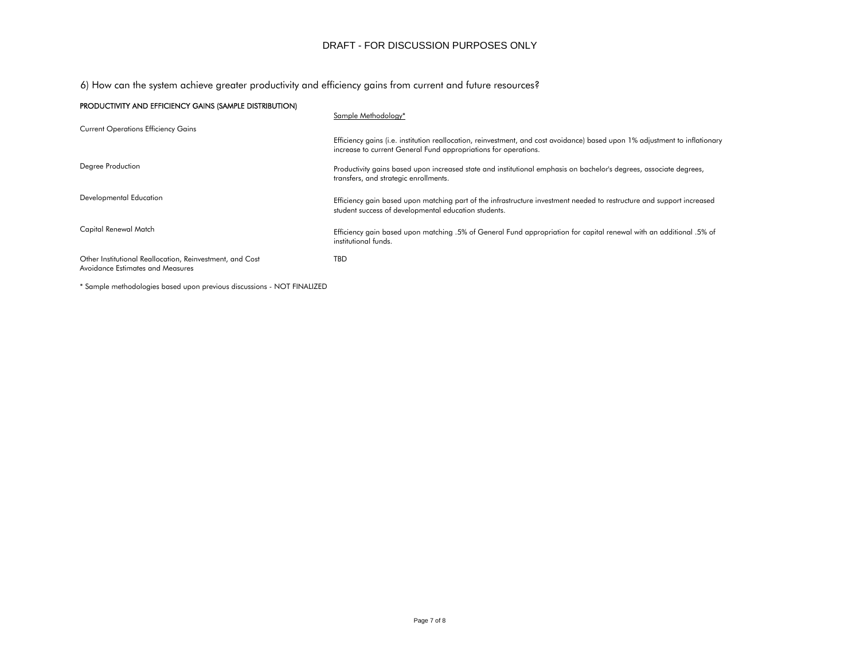6) How can the system achieve greater productivity and efficiency gains from current and future resources?

| PRODUCTIVITY AND EFFICIENCY GAINS (SAMPLE DISTRIBUTION)                                      |                                                                                                                                                                                                |
|----------------------------------------------------------------------------------------------|------------------------------------------------------------------------------------------------------------------------------------------------------------------------------------------------|
|                                                                                              | Sample Methodology*                                                                                                                                                                            |
| <b>Current Operations Efficiency Gains</b>                                                   |                                                                                                                                                                                                |
|                                                                                              | Efficiency gains (i.e. institution reallocation, reinvestment, and cost avoidance) based upon 1% adjustment to inflationary<br>increase to current General Fund appropriations for operations. |
| Degree Production                                                                            | Productivity gains based upon increased state and institutional emphasis on bachelor's degrees, associate degrees,<br>transfers, and strategic enrollments.                                    |
| Developmental Education                                                                      | Efficiency gain based upon matching part of the infrastructure investment needed to restructure and support increased<br>student success of developmental education students.                  |
| Capital Renewal Match                                                                        | Efficiency gain based upon matching .5% of General Fund appropriation for capital renewal with an additional .5% of<br>institutional funds.                                                    |
| Other Institutional Reallocation, Reinvestment, and Cost<br>Avoidance Estimates and Measures | TBD                                                                                                                                                                                            |

\* Sample methodologies based upon previous discussions - NOT FINALIZED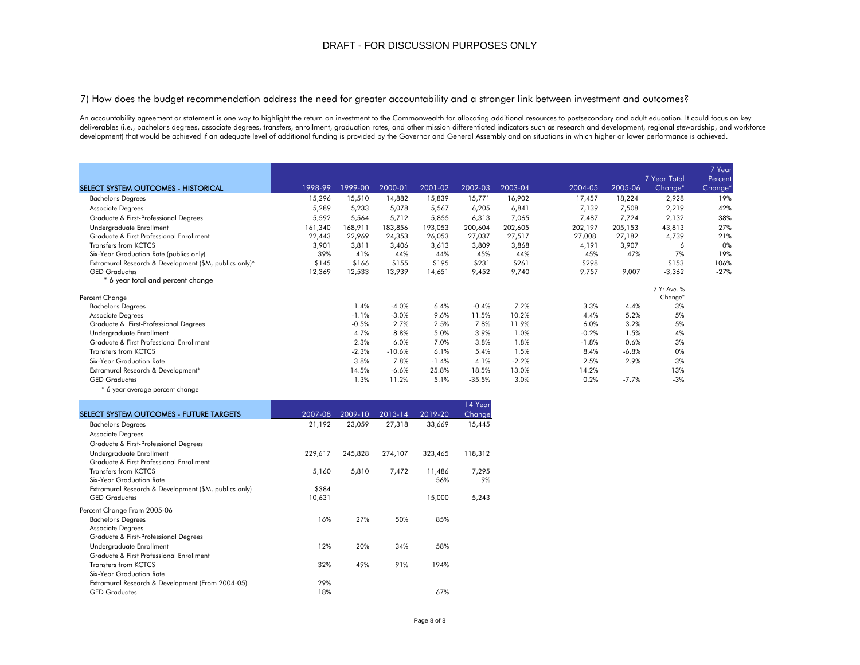7) How does the budget recommendation address the need for greater accountability and a stronger link between investment and outcomes?

An accountability agreement or statement is one way to highlight the return on investment to the Commonwealth for allocating additional resources to postsecondary and adult education. It could focus on key deliverables (i.e., bachelor's degrees, associate degrees, transfers, enrollment, graduation rates, and other mission differentiated indicators such as research and development, regional stewardship, and workforce development) that would be achieved if an adequate level of additional funding is provided by the Governor and General Assembly and on situations in which higher or lower performance is achieved.

|                                                        |         |         |             |         |          |         |         |         |              | 7 Year              |
|--------------------------------------------------------|---------|---------|-------------|---------|----------|---------|---------|---------|--------------|---------------------|
|                                                        |         |         |             |         |          |         |         |         | 7 Year Total | Percent             |
| SELECT SYSTEM OUTCOMES - HISTORICAL                    | 1998-99 | 1999-00 | $2000 - 01$ | 2001-02 | 2002-03  | 2003-04 | 2004-05 | 2005-06 | Change*      | Change <sup>*</sup> |
| <b>Bachelor's Degrees</b>                              | 15,296  | 15,510  | 14,882      | 15,839  | 15,771   | 16,902  | 17,457  | 18,224  | 2,928        | 19%                 |
| Associate Degrees                                      | 5,289   | 5,233   | 5,078       | 5,567   | 6,205    | 6,841   | 7,139   | 7,508   | 2,219        | 42%                 |
| Graduate & First-Professional Degrees                  | 5,592   | 5,564   | 5,712       | 5,855   | 6,313    | 7,065   | 7,487   | 7,724   | 2,132        | 38%                 |
| Undergraduate Enrollment                               | 161,340 | 168,911 | 183,856     | 193,053 | 200,604  | 202,605 | 202,197 | 205,153 | 43,813       | 27%                 |
| Graduate & First Professional Enrollment               | 22,443  | 22,969  | 24,353      | 26,053  | 27,037   | 27,517  | 27,008  | 27,182  | 4,739        | 21%                 |
| <b>Transfers from KCTCS</b>                            | 3,901   | 3,811   | 3,406       | 3,613   | 3,809    | 3,868   | 4,191   | 3,907   | 6            | 0%                  |
| Six-Year Graduation Rate (publics only)                | 39%     | 41%     | 44%         | 44%     | 45%      | 44%     | 45%     | 47%     | 7%           | 19%                 |
| Extramural Research & Development (\$M, publics only)* | \$145   | \$166   | \$155       | \$195   | \$231    | \$261   | \$298   |         | \$153        | 106%                |
| <b>GED</b> Graduates                                   | 12,369  | 12,533  | 13,939      | 14,651  | 9,452    | 9,740   | 9,757   | 9,007   | $-3,362$     | $-27%$              |
| * 6 year total and percent change                      |         |         |             |         |          |         |         |         |              |                     |
|                                                        |         |         |             |         |          |         |         |         | 7 Yr Ave. %  |                     |
| Percent Change                                         |         |         |             |         |          |         |         |         | Change*      |                     |
| <b>Bachelor's Degrees</b>                              |         | 1.4%    | $-4.0%$     | 6.4%    | $-0.4%$  | 7.2%    | 3.3%    | 4.4%    | 3%           |                     |
| Associate Degrees                                      |         | $-1.1%$ | $-3.0%$     | 9.6%    | 11.5%    | 10.2%   | 4.4%    | 5.2%    | 5%           |                     |
| Graduate & First-Professional Degrees                  |         | $-0.5%$ | 2.7%        | 2.5%    | 7.8%     | 11.9%   | 6.0%    | 3.2%    | 5%           |                     |
| Undergraduate Enrollment                               |         | 4.7%    | 8.8%        | 5.0%    | 3.9%     | 1.0%    | $-0.2%$ | 1.5%    | 4%           |                     |
| Graduate & First Professional Enrollment               |         | 2.3%    | 6.0%        | 7.0%    | 3.8%     | 1.8%    | $-1.8%$ | 0.6%    | 3%           |                     |
| <b>Transfers from KCTCS</b>                            |         | $-2.3%$ | $-10.6%$    | 6.1%    | 5.4%     | 1.5%    | 8.4%    | $-6.8%$ | 0%           |                     |
| Six-Year Graduation Rate                               |         | 3.8%    | 7.8%        | $-1.4%$ | 4.1%     | $-2.2%$ | 2.5%    | 2.9%    | 3%           |                     |
| Extramural Research & Development*                     |         | 14.5%   | $-6.6%$     | 25.8%   | 18.5%    | 13.0%   | 14.2%   |         | 13%          |                     |
| <b>GED Graduates</b>                                   |         | 1.3%    | 11.2%       | 5.1%    | $-35.5%$ | 3.0%    | 0.2%    | $-7.7%$ | $-3%$        |                     |
| * 6 year average percent change                        |         |         |             |         |          |         |         |         |              |                     |

|                                                       |         |         |         |         | 14 Yearl |
|-------------------------------------------------------|---------|---------|---------|---------|----------|
| SELECT SYSTEM OUTCOMES - FUTURE TARGETS               | 2007-08 | 2009-10 | 2013-14 | 2019-20 | Change   |
| <b>Bachelor's Degrees</b>                             | 21,192  | 23,059  | 27,318  | 33,669  | 15,445   |
| <b>Associate Degrees</b>                              |         |         |         |         |          |
| Graduate & First-Professional Degrees                 |         |         |         |         |          |
| Undergraduate Enrollment                              | 229,617 | 245,828 | 274,107 | 323,465 | 118,312  |
| Graduate & First Professional Enrollment              |         |         |         |         |          |
| Transfers from KCTCS                                  | 5,160   | 5,810   | 7,472   | 11,486  | 7,295    |
| Six-Year Graduation Rate                              |         |         |         | 56%     | 9%       |
| Extramural Research & Development (\$M, publics only) | \$384   |         |         |         |          |
| <b>GED Graduates</b>                                  | 10,631  |         |         | 15,000  | 5,243    |
| Percent Change From 2005-06                           |         |         |         |         |          |
| <b>Bachelor's Degrees</b>                             | 16%     | 27%     | 50%     | 85%     |          |
| <b>Associate Degrees</b>                              |         |         |         |         |          |
| Graduate & First-Professional Degrees                 |         |         |         |         |          |
| Undergraduate Enrollment                              | 12%     | 20%     | 34%     | 58%     |          |
| Graduate & First Professional Enrollment              |         |         |         |         |          |
| <b>Transfers from KCTCS</b>                           | 32%     | 49%     | 91%     | 194%    |          |
| Six-Year Graduation Rate                              |         |         |         |         |          |
| Extramural Research & Development (From 2004-05)      | 29%     |         |         |         |          |
| <b>GED Graduates</b>                                  | 18%     |         |         | 67%     |          |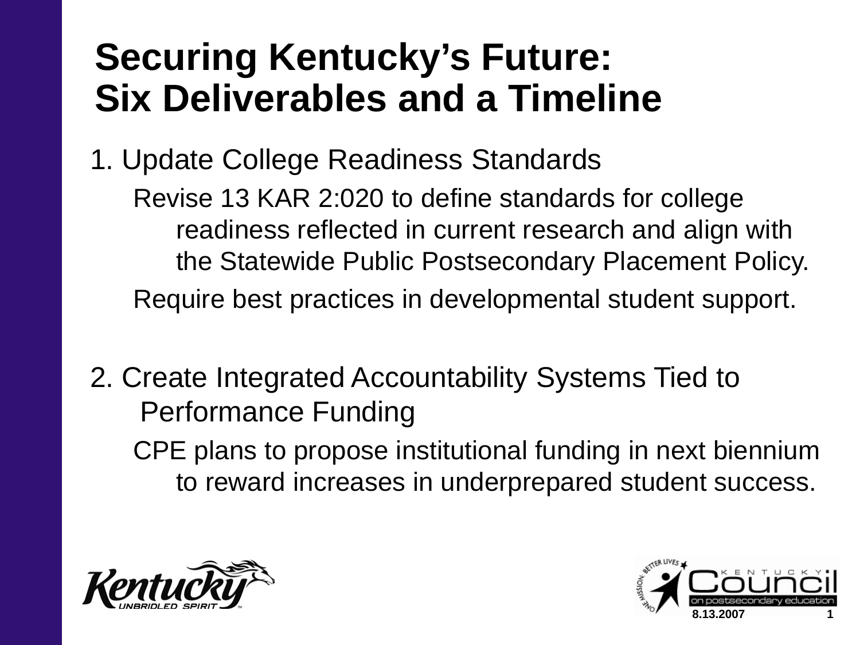## **Securing Kentucky's Future: Six Deliverables and a Timeline**

1. Update College Readiness Standards

Revise 13 KAR 2:020 to define standards for college readiness reflected in current research and align with the Statewide Public Postsecondary Placement Policy. Require best practices in developmental student support.

- 2. Create Integrated Accountability Systems Tied to Performance Funding CPE plans to propose institutional funding in next biennium
	- to reward increases in underprepared student success.



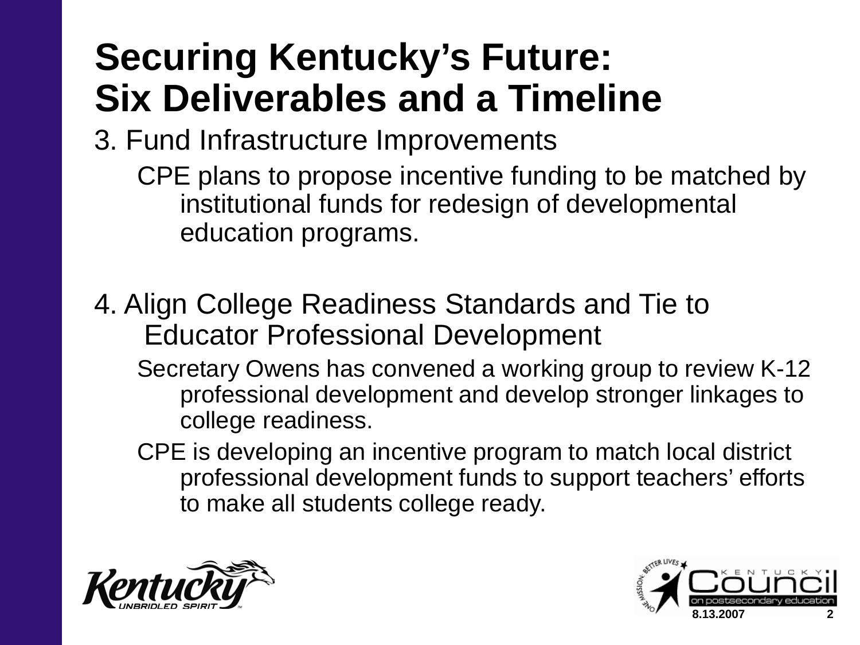# **Securing Kentucky's Future: Six Deliverables and a Timeline**

- 3. Fund Infrastructure Improvements
	- CPE plans to propose incentive funding to be matched by institutional funds for redesign of developmental education programs.
- 4. Align College Readiness Standards and Tie to Educator Professional Development
	- Secretary Owens has convened a working group to review K-12 professional development and develop stronger linkages to college readiness.
	- CPE is developing an incentive program to match local district professional development funds to support teachers' efforts to make all students college ready.



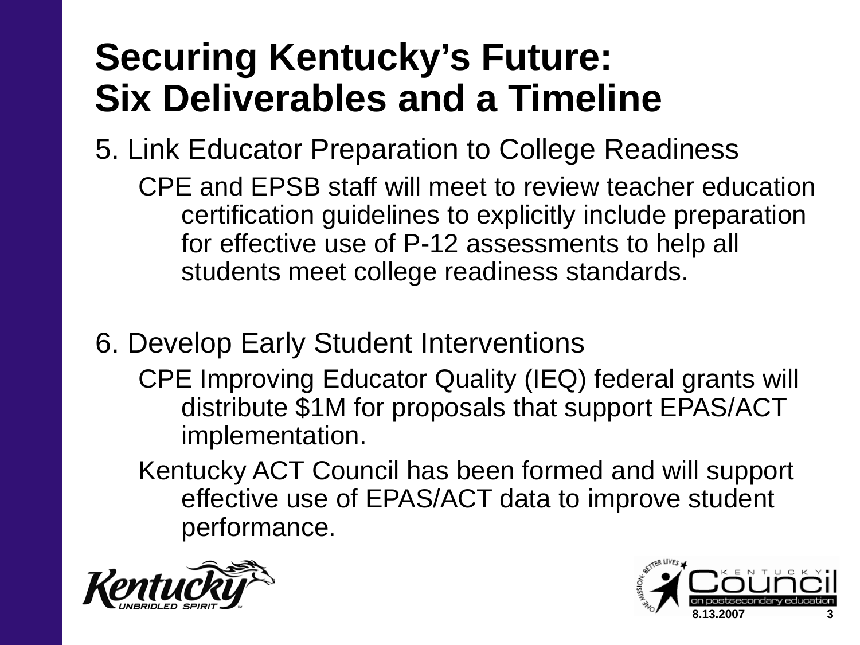## **Securing Kentucky's Future: Six Deliverables and a Timeline**

- 5. Link Educator Preparation to College Readiness CPE and EPSB staff will meet to review teacher education certification guidelines to explicitly include preparation for effective use of P-12 assessments to help all students meet college readiness standards.
- 6. Develop Early Student Interventions
	- CPE Improving Educator Quality (IEQ) federal grants will distribute \$1M for proposals that support EPAS/ACT implementation.
	- Kentucky ACT Council has been formed and will support effective use of EPAS/ACT data to improve student performance.



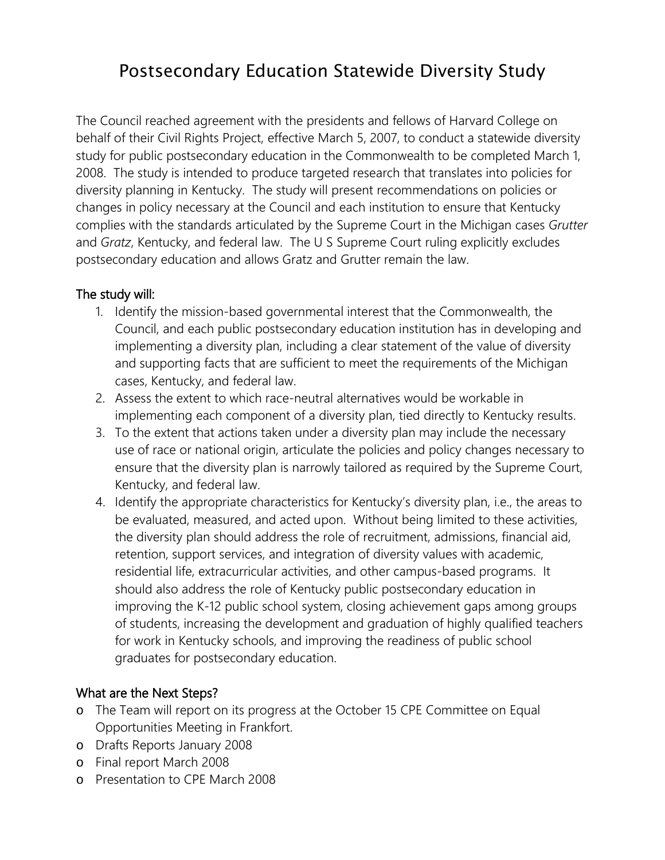## Postsecondary Education Statewide Diversity Study

The Council reached agreement with the presidents and fellows of Harvard College on behalf of their Civil Rights Project, effective March 5, 2007, to conduct a statewide diversity study for public postsecondary education in the Commonwealth to be completed March 1, 2008. The study is intended to produce targeted research that translates into policies for diversity planning in Kentucky. The study will present recommendations on policies or changes in policy necessary at the Council and each institution to ensure that Kentucky complies with the standards articulated by the Supreme Court in the Michigan cases *Grutter* and *Gratz*, Kentucky, and federal law. The U S Supreme Court ruling explicitly excludes postsecondary education and allows Gratz and Grutter remain the law.

## The study will:

- 1. Identify the mission-based governmental interest that the Commonwealth, the Council, and each public postsecondary education institution has in developing and implementing a diversity plan, including a clear statement of the value of diversity and supporting facts that are sufficient to meet the requirements of the Michigan cases, Kentucky, and federal law.
- 2. Assess the extent to which race-neutral alternatives would be workable in implementing each component of a diversity plan, tied directly to Kentucky results.
- 3. To the extent that actions taken under a diversity plan may include the necessary use of race or national origin, articulate the policies and policy changes necessary to ensure that the diversity plan is narrowly tailored as required by the Supreme Court, Kentucky, and federal law.
- 4. Identify the appropriate characteristics for Kentucky's diversity plan, i.e., the areas to be evaluated, measured, and acted upon. Without being limited to these activities, the diversity plan should address the role of recruitment, admissions, financial aid, retention, support services, and integration of diversity values with academic, residential life, extracurricular activities, and other campus-based programs. It should also address the role of Kentucky public postsecondary education in improving the K-12 public school system, closing achievement gaps among groups of students, increasing the development and graduation of highly qualified teachers for work in Kentucky schools, and improving the readiness of public school graduates for postsecondary education.

## What are the Next Steps?

- o The Team will report on its progress at the October 15 CPE Committee on Equal Opportunities Meeting in Frankfort.
- o Drafts Reports January 2008
- o Final report March 2008
- o Presentation to CPE March 2008